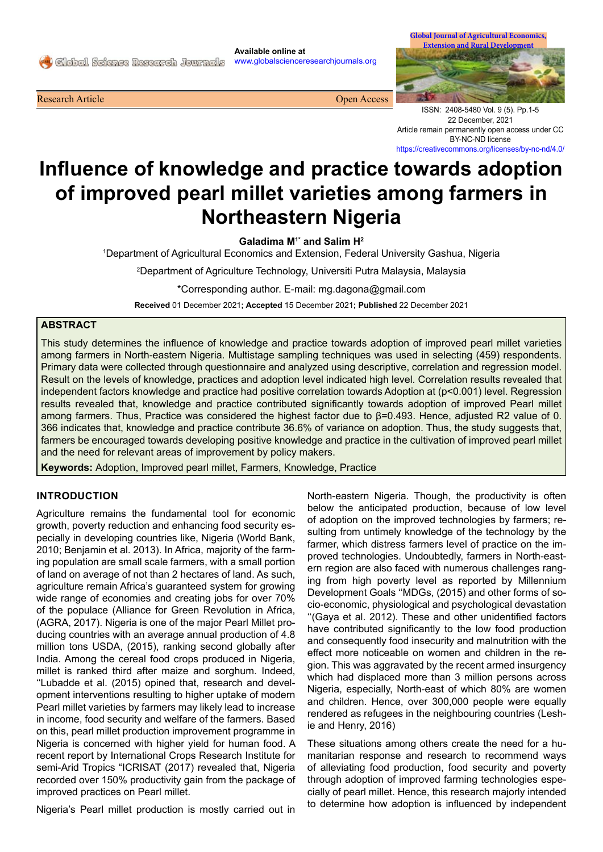**Available online at**  www.globalscienceresearchjournals.org

**Research Article Open Access Open Access Open Access Open Access Open Access** 



ISSN: 2408-5480 Vol. 9 (5). Pp.1-5 22 December, 2021 Article remain permanently open access under CC BY-NC-ND license https://creativecommons.org/licenses/by-nc-nd/4.0/

# **Influence of knowledge and practice towards adoption of improved pearl millet varieties among farmers in Northeastern Nigeria**

**Galadima M1\* and Salim H<sup>2</sup>**

1 Department of Agricultural Economics and Extension, Federal University Gashua, Nigeria

2 Department of Agriculture Technology, Universiti Putra Malaysia, Malaysia

\*Corresponding author. E-mail: mg.dagona@gmail.com

**Received** 01 December 2021**; Accepted** 15 December 2021**; Published** 22 December 2021

# **ABSTRACT**

This study determines the influence of knowledge and practice towards adoption of improved pearl millet varieties among farmers in North-eastern Nigeria. Multistage sampling techniques was used in selecting (459) respondents. Primary data were collected through questionnaire and analyzed using descriptive, correlation and regression model. Result on the levels of knowledge, practices and adoption level indicated high level. Correlation results revealed that independent factors knowledge and practice had positive correlation towards Adoption at (p<0.001) level. Regression results revealed that, knowledge and practice contributed significantly towards adoption of improved Pearl millet among farmers. Thus, Practice was considered the highest factor due to β=0.493. Hence, adjusted R2 value of 0. 366 indicates that, knowledge and practice contribute 36.6% of variance on adoption. Thus, the study suggests that, farmers be encouraged towards developing positive knowledge and practice in the cultivation of improved pearl millet and the need for relevant areas of improvement by policy makers.

**Keywords:** Adoption, Improved pearl millet, Farmers, Knowledge, Practice

# **INTRODUCTION**

Agriculture remains the fundamental tool for economic growth, poverty reduction and enhancing food security especially in developing countries like, Nigeria (World Bank, 2010; Benjamin et al. 2013). In Africa, majority of the farming population are small scale farmers, with a small portion of land on average of not than 2 hectares of land. As such, agriculture remain Africa's guaranteed system for growing wide range of economies and creating jobs for over 70% of the populace (Alliance for Green Revolution in Africa, (AGRA, 2017). Nigeria is one of the major Pearl Millet producing countries with an average annual production of 4.8 million tons USDA, (2015), ranking second globally after India. Among the cereal food crops produced in Nigeria, millet is ranked third after maize and sorghum. Indeed, ''Lubadde et al. (2015) opined that, research and development interventions resulting to higher uptake of modern Pearl millet varieties by farmers may likely lead to increase in income, food security and welfare of the farmers. Based on this, pearl millet production improvement programme in Nigeria is concerned with higher yield for human food. A recent report by International Crops Research Institute for semi-Arid Tropics "ICRISAT (2017) revealed that, Nigeria recorded over 150% productivity gain from the package of improved practices on Pearl millet.

Nigeria's Pearl millet production is mostly carried out in

North-eastern Nigeria. Though, the productivity is often below the anticipated production, because of low level of adoption on the improved technologies by farmers; resulting from untimely knowledge of the technology by the farmer, which distress farmers level of practice on the improved technologies. Undoubtedly, farmers in North-eastern region are also faced with numerous challenges ranging from high poverty level as reported by Millennium Development Goals ''MDGs, (2015) and other forms of socio-economic, physiological and psychological devastation ''(Gaya et al. 2012). These and other unidentified factors have contributed significantly to the low food production and consequently food insecurity and malnutrition with the effect more noticeable on women and children in the region. This was aggravated by the recent armed insurgency which had displaced more than 3 million persons across Nigeria, especially, North-east of which 80% are women and children. Hence, over 300,000 people were equally rendered as refugees in the neighbouring countries (Leshie and Henry, 2016)

These situations among others create the need for a humanitarian response and research to recommend ways of alleviating food production, food security and poverty through adoption of improved farming technologies especially of pearl millet. Hence, this research majorly intended to determine how adoption is influenced by independent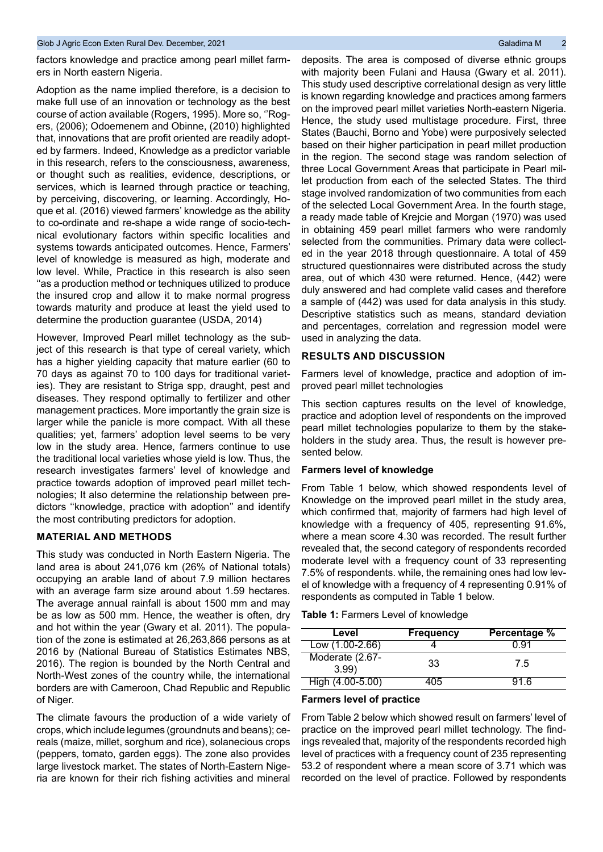factors knowledge and practice among pearl millet farmers in North eastern Nigeria.

Adoption as the name implied therefore, is a decision to make full use of an innovation or technology as the best course of action available (Rogers, 1995). More so, ''Rogers, (2006); Odoemenem and Obinne, (2010) highlighted that, innovations that are profit oriented are readily adopted by farmers. Indeed, Knowledge as a predictor variable in this research, refers to the consciousness, awareness, or thought such as realities, evidence, descriptions, or services, which is learned through practice or teaching, by perceiving, discovering, or learning. Accordingly, Hoque et al. (2016) viewed farmers' knowledge as the ability to co-ordinate and re-shape a wide range of socio-technical evolutionary factors within specific localities and systems towards anticipated outcomes. Hence, Farmers' level of knowledge is measured as high, moderate and low level. While, Practice in this research is also seen ''as a production method or techniques utilized to produce the insured crop and allow it to make normal progress towards maturity and produce at least the yield used to determine the production guarantee (USDA, 2014)

However, Improved Pearl millet technology as the subject of this research is that type of cereal variety, which has a higher yielding capacity that mature earlier (60 to 70 days as against 70 to 100 days for traditional varieties). They are resistant to Striga spp, draught, pest and diseases. They respond optimally to fertilizer and other management practices. More importantly the grain size is larger while the panicle is more compact. With all these qualities; yet, farmers' adoption level seems to be very low in the study area. Hence, farmers continue to use the traditional local varieties whose yield is low. Thus, the research investigates farmers' level of knowledge and practice towards adoption of improved pearl millet technologies; It also determine the relationship between predictors ''knowledge, practice with adoption'' and identify the most contributing predictors for adoption.

## **MATERIAL AND METHODS**

This study was conducted in North Eastern Nigeria. The land area is about 241,076 km (26% of National totals) occupying an arable land of about 7.9 million hectares with an average farm size around about 1.59 hectares. The average annual rainfall is about 1500 mm and may be as low as 500 mm. Hence, the weather is often, dry and hot within the year (Gwary et al. 2011). The population of the zone is estimated at 26,263,866 persons as at 2016 by (National Bureau of Statistics Estimates NBS, 2016). The region is bounded by the North Central and North-West zones of the country while, the international borders are with Cameroon, Chad Republic and Republic of Niger.

The climate favours the production of a wide variety of crops, which include legumes (groundnuts and beans); cereals (maize, millet, sorghum and rice), solanecious crops (peppers, tomato, garden eggs). The zone also provides large livestock market. The states of North-Eastern Nigeria are known for their rich fishing activities and mineral

deposits. The area is composed of diverse ethnic groups with majority been Fulani and Hausa (Gwary et al. 2011). This study used descriptive correlational design as very little is known regarding knowledge and practices among farmers on the improved pearl millet varieties North-eastern Nigeria. Hence, the study used multistage procedure. First, three States (Bauchi, Borno and Yobe) were purposively selected based on their higher participation in pearl millet production in the region. The second stage was random selection of three Local Government Areas that participate in Pearl millet production from each of the selected States. The third stage involved randomization of two communities from each of the selected Local Government Area. In the fourth stage, a ready made table of Krejcie and Morgan (1970) was used in obtaining 459 pearl millet farmers who were randomly selected from the communities. Primary data were collected in the year 2018 through questionnaire. A total of 459 structured questionnaires were distributed across the study area, out of which 430 were returned. Hence, (442) were duly answered and had complete valid cases and therefore a sample of (442) was used for data analysis in this study. Descriptive statistics such as means, standard deviation and percentages, correlation and regression model were used in analyzing the data.

#### **RESULTS AND DISCUSSION**

Farmers level of knowledge, practice and adoption of improved pearl millet technologies

This section captures results on the level of knowledge, practice and adoption level of respondents on the improved pearl millet technologies popularize to them by the stakeholders in the study area. Thus, the result is however presented below.

#### **Farmers level of knowledge**

From Table 1 below, which showed respondents level of Knowledge on the improved pearl millet in the study area, which confirmed that, majority of farmers had high level of knowledge with a frequency of 405, representing 91.6%, where a mean score 4.30 was recorded. The result further revealed that, the second category of respondents recorded moderate level with a frequency count of 33 representing 7.5% of respondents. while, the remaining ones had low level of knowledge with a frequency of 4 representing 0.91% of respondents as computed in Table 1 below.

| Table 1: Farmers Level of knowledge |  |  |
|-------------------------------------|--|--|
|-------------------------------------|--|--|

| Level                      | <b>Frequency</b> | Percentage % |
|----------------------------|------------------|--------------|
| Low (1.00-2.66)            |                  | በ 91         |
| Moderate $(2.67 -$<br>3.99 | 33               | 75           |
| High $(4.00 - 5.00)$       | 405              | 91 6         |

### **Farmers level of practice**

From Table 2 below which showed result on farmers' level of practice on the improved pearl millet technology. The findings revealed that, majority of the respondents recorded high level of practices with a frequency count of 235 representing 53.2 of respondent where a mean score of 3.71 which was recorded on the level of practice. Followed by respondents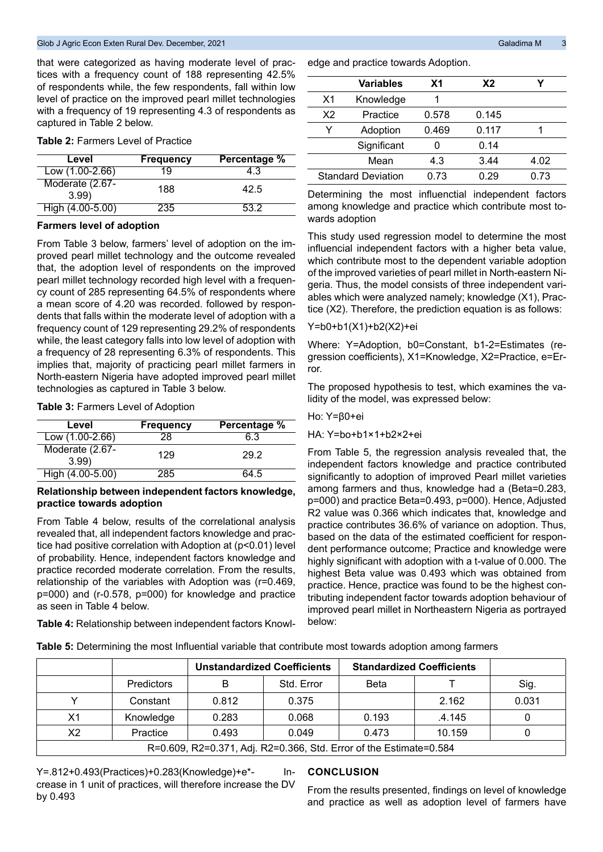that were categorized as having moderate level of practices with a frequency count of 188 representing 42.5% of respondents while, the few respondents, fall within low level of practice on the improved pearl millet technologies with a frequency of 19 representing 4.3 of respondents as captured in Table 2 below.

#### **Table 2:** Farmers Level of Practice

| Level                   | <b>Frequency</b> | Percentage % |
|-------------------------|------------------|--------------|
| Low (1.00-2.66)         | 19               | 4.3          |
| Moderate (2.67-<br>3.99 | 188              | 42.5         |
| High $(4.00 - 5.00)$    | 235              | 53.2         |

#### **Farmers level of adoption**

From Table 3 below, farmers' level of adoption on the improved pearl millet technology and the outcome revealed that, the adoption level of respondents on the improved pearl millet technology recorded high level with a frequency count of 285 representing 64.5% of respondents where a mean score of 4.20 was recorded. followed by respondents that falls within the moderate level of adoption with a frequency count of 129 representing 29.2% of respondents while, the least category falls into low level of adoption with a frequency of 28 representing 6.3% of respondents. This implies that, majority of practicing pearl millet farmers in North-eastern Nigeria have adopted improved pearl millet technologies as captured in Table 3 below.

**Table 3:** Farmers Level of Adoption

| Level                   | <b>Frequency</b> | Percentage % |
|-------------------------|------------------|--------------|
| $Low(1.00-2.66)$        | 28               | 6.3          |
| Moderate (2.67-<br>3.99 | 129              | 29.2         |
| High (4.00-5.00)        | 285              | 64.5         |

## **Relationship between independent factors knowledge, practice towards adoption**

From Table 4 below, results of the correlational analysis revealed that, all independent factors knowledge and practice had positive correlation with Adoption at (p<0.01) level of probability. Hence, independent factors knowledge and practice recorded moderate correlation. From the results, relationship of the variables with Adoption was (r=0.469, p=000) and (r-0.578, p=000) for knowledge and practice as seen in Table 4 below.

**Table 4:** Relationship between independent factors Knowl-

edge and practice towards Adoption.

|    | <b>Variables</b>          | <b>X1</b> | X2    |      |
|----|---------------------------|-----------|-------|------|
| X1 | Knowledge                 |           |       |      |
| X2 | Practice                  | 0.578     | 0.145 |      |
| v  | Adoption                  | 0.469     | 0.117 |      |
|    | Significant               |           | 0.14  |      |
|    | Mean                      | 4.3       | 3.44  | 4.02 |
|    | <b>Standard Deviation</b> | 0.73      | 0.29  | 0.73 |

Determining the most influenctial independent factors among knowledge and practice which contribute most towards adoption

This study used regression model to determine the most influencial independent factors with a higher beta value, which contribute most to the dependent variable adoption of the improved varieties of pearl millet in North-eastern Nigeria. Thus, the model consists of three independent variables which were analyzed namely; knowledge (X1), Practice (X2). Therefore, the prediction equation is as follows:

### Y=b0+b1(X1)+b2(X2)+ei

Where: Y=Adoption, b0=Constant, b1-2=Estimates (regression coefficients), X1=Knowledge, X2=Practice, e=Error.

The proposed hypothesis to test, which examines the validity of the model, was expressed below:

#### Ho: Y=β0+ei

HA: Y=bo+b1×1+b2×2+ei

From Table 5, the regression analysis revealed that, the independent factors knowledge and practice contributed significantly to adoption of improved Pearl millet varieties among farmers and thus, knowledge had a (Beta=0.283, p=000) and practice Beta=0.493, p=000). Hence, Adjusted R2 value was 0.366 which indicates that, knowledge and practice contributes 36.6% of variance on adoption. Thus, based on the data of the estimated coefficient for respondent performance outcome; Practice and knowledge were highly significant with adoption with a t-value of 0.000. The highest Beta value was 0.493 which was obtained from practice. Hence, practice was found to be the highest contributing independent factor towards adoption behaviour of improved pearl millet in Northeastern Nigeria as portrayed below:

**Table 5:** Determining the most Influential variable that contribute most towards adoption among farmers

|                                                                    |                   | <b>Unstandardized Coefficients</b> |            | <b>Standardized Coefficients</b> |        |       |
|--------------------------------------------------------------------|-------------------|------------------------------------|------------|----------------------------------|--------|-------|
|                                                                    | <b>Predictors</b> | в                                  | Std. Error | <b>Beta</b>                      |        | Sig.  |
|                                                                    | Constant          | 0.812                              | 0.375      |                                  | 2.162  | 0.031 |
| X <sub>1</sub>                                                     | Knowledge         | 0.283                              | 0.068      | 0.193                            | .4.145 |       |
| X <sub>2</sub>                                                     | Practice          | 0.493                              | 0.049      | 0.473                            | 10.159 |       |
| R=0.609, R2=0.371, Adj. R2=0.366, Std. Error of the Estimate=0.584 |                   |                                    |            |                                  |        |       |

Y=.812+0.493(Practices)+0.283(Knowledge)+e\*- Increase in 1 unit of practices, will therefore increase the DV by 0.493

## **CONCLUSION**

From the results presented, findings on level of knowledge and practice as well as adoption level of farmers have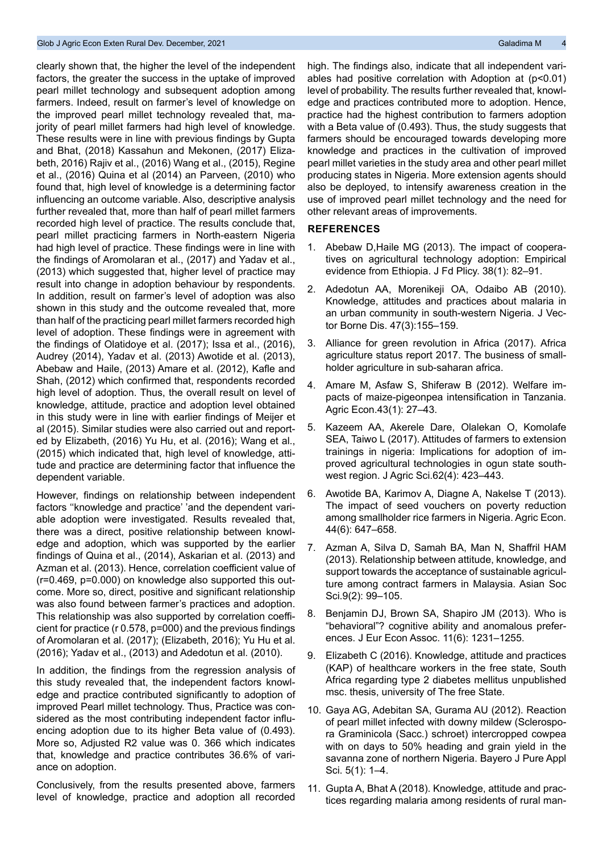#### Glob J Agric Econ Exten Rural Dev. December, 2021 Galadima M 4 Agric Economic Caladima M 4 Agric Economic Galadima M

clearly shown that, the higher the level of the independent factors, the greater the success in the uptake of improved pearl millet technology and subsequent adoption among farmers. Indeed, result on farmer's level of knowledge on the improved pearl millet technology revealed that, majority of pearl millet farmers had high level of knowledge. These results were in line with previous findings by Gupta and Bhat, (2018) Kassahun and Mekonen, (2017) Elizabeth, 2016) Rajiv et al., (2016) Wang et al., (2015), Regine et al., (2016) Quina et al (2014) an Parveen, (2010) who found that, high level of knowledge is a determining factor influencing an outcome variable. Also, descriptive analysis further revealed that, more than half of pearl millet farmers recorded high level of practice. The results conclude that, pearl millet practicing farmers in North-eastern Nigeria had high level of practice. These findings were in line with the findings of Aromolaran et al., (2017) and Yadav et al., (2013) which suggested that, higher level of practice may result into change in adoption behaviour by respondents. In addition, result on farmer's level of adoption was also shown in this study and the outcome revealed that, more than half of the practicing pearl millet farmers recorded high level of adoption. These findings were in agreement with the findings of Olatidoye et al. (2017); Issa et al., (2016), Audrey (2014), Yadav et al. (2013) Awotide et al. (2013), Abebaw and Haile, (2013) Amare et al. (2012), Kafle and Shah, (2012) which confirmed that, respondents recorded high level of adoption. Thus, the overall result on level of knowledge, attitude, practice and adoption level obtained in this study were in line with earlier findings of Meijer et al (2015). Similar studies were also carried out and reported by Elizabeth, (2016) Yu Hu, et al. (2016); Wang et al., (2015) which indicated that, high level of knowledge, attitude and practice are determining factor that influence the dependent variable.

However, findings on relationship between independent factors ''knowledge and practice' 'and the dependent variable adoption were investigated. Results revealed that, there was a direct, positive relationship between knowledge and adoption, which was supported by the earlier findings of Quina et al., (2014), Askarian et al. (2013) and Azman et al. (2013). Hence, correlation coefficient value of (r=0.469, p=0.000) on knowledge also supported this outcome. More so, direct, positive and significant relationship was also found between farmer's practices and adoption. This relationship was also supported by correlation coefficient for practice (r 0.578, p=000) and the previous findings of Aromolaran et al. (2017); (Elizabeth, 2016); Yu Hu et al. (2016); Yadav et al., (2013) and Adedotun et al. (2010).

In addition, the findings from the regression analysis of this study revealed that, the independent factors knowledge and practice contributed significantly to adoption of improved Pearl millet technology. Thus, Practice was considered as the most contributing independent factor influencing adoption due to its higher Beta value of (0.493). More so, Adjusted R2 value was 0. 366 which indicates that, knowledge and practice contributes 36.6% of variance on adoption.

Conclusively, from the results presented above, farmers level of knowledge, practice and adoption all recorded high. The findings also, indicate that all independent variables had positive correlation with Adoption at (p<0.01) level of probability. The results further revealed that, knowledge and practices contributed more to adoption. Hence, practice had the highest contribution to farmers adoption with a Beta value of (0.493). Thus, the study suggests that farmers should be encouraged towards developing more knowledge and practices in the cultivation of improved pearl millet varieties in the study area and other pearl millet producing states in Nigeria. More extension agents should also be deployed, to intensify awareness creation in the use of improved pearl millet technology and the need for other relevant areas of improvements.

#### **REFERENCES**

- 1. [Abebaw D,Haile MG \(2013\). The impact of coopera](https://doi.org/10.1016/j.foodpol.2012.10.003)[tives on agricultural technology adoption: Empirical](https://doi.org/10.1016/j.foodpol.2012.10.003) [evidence from Ethiopia. J Fd Plicy. 38\(1\): 82–91.](https://doi.org/10.1016/j.foodpol.2012.10.003)
- 2. [Adedotun AA, Morenikeji OA, Odaibo AB \(2010\).](https://pubmed.ncbi.nlm.nih.gov/20834085/) [Knowledge, attitudes and practices about malaria in](https://pubmed.ncbi.nlm.nih.gov/20834085/) [an urban community in south-western Nigeria. J Vec](https://pubmed.ncbi.nlm.nih.gov/20834085/)[tor Borne Dis. 47\(3\):155–159.](https://pubmed.ncbi.nlm.nih.gov/20834085/)
- 3. Alliance for green revolution in Africa (2017). Africa agriculture status report 2017. The business of smallholder agriculture in sub-saharan africa.
- 4. [Amare M, Asfaw S, Shiferaw B \(2012\). Welfare im](https://doi.org/10.1111/j.1574-0862.2011.00563.x)[pacts of maize-pigeonpea intensification in Tanzania.](https://doi.org/10.1111/j.1574-0862.2011.00563.x) [Agric Econ.43\(1\): 27–43.](https://doi.org/10.1111/j.1574-0862.2011.00563.x)
- 5. [Kazeem AA, Akerele Dare, Olalekan O, Komolafe](https://doi.org/10.2298/JAS1704423K) [SEA, Taiwo L \(2017\). Attitudes of farmers to extension](https://doi.org/10.2298/JAS1704423K) [trainings in nigeria: Implications for adoption of im](https://doi.org/10.2298/JAS1704423K)[proved agricultural technologies in ogun state south](https://doi.org/10.2298/JAS1704423K)[west region. J Agric Sci.62\(4\): 423–443.](https://doi.org/10.2298/JAS1704423K)
- 6. [Awotide BA, Karimov A, Diagne A, Nakelse T \(2013\).](https://doi.org/10.1111/agec.12079) [The impact of seed vouchers on poverty reduction](https://doi.org/10.1111/agec.12079) [among smallholder rice farmers in Nigeria. Agric Econ.](https://doi.org/10.1111/agec.12079) [44\(6\): 647–658.](https://doi.org/10.1111/agec.12079)
- 7. [Azman A, Silva D, Samah BA, Man N, Shaffril HAM](https://doi.org/10.5539/ass.v9n2p99) [\(2013\). Relationship between attitude, knowledge, and](https://doi.org/10.5539/ass.v9n2p99) [support towards the acceptance of sustainable agricul](https://doi.org/10.5539/ass.v9n2p99)[ture among contract farmers in Malaysia. Asian Soc](https://doi.org/10.5539/ass.v9n2p99) [Sci.9\(2\): 99–105.](https://doi.org/10.5539/ass.v9n2p99)
- 8. [Benjamin DJ, Brown SA, Shapiro JM \(2013\). Who is](https://doi.org/10.1111/jeea.12055) ["behavioral"? cognitive ability and anomalous prefer](https://doi.org/10.1111/jeea.12055)[ences. J Eur Econ Assoc. 11\(6\): 1231–1255.](https://doi.org/10.1111/jeea.12055)
- 9. Elizabeth C (2016). Knowledge, attitude and practices (KAP) of healthcare workers in the free state, South Africa regarding type 2 diabetes mellitus unpublished msc. thesis, university of The free State.
- 10. [Gaya AG, Adebitan SA, Gurama AU \(2012\). Reaction](https://doi.org/10.4314/bajopas.v5i1.1) [of pearl millet infected with downy mildew \(Sclerospo](https://doi.org/10.4314/bajopas.v5i1.1)[ra Graminicola \(Sacc.\) schroet\) intercropped cowpea](https://doi.org/10.4314/bajopas.v5i1.1) [with on days to 50% heading and grain yield in the](https://doi.org/10.4314/bajopas.v5i1.1) [savanna zone of northern Nigeria. Bayero J Pure Appl](https://doi.org/10.4314/bajopas.v5i1.1) [Sci. 5\(1\): 1–4.](https://doi.org/10.4314/bajopas.v5i1.1)
- 11. [Gupta A, Bhat A \(2018\). Knowledge, attitude and prac](https://dx.doi.org/10.18203/2320-6012.ijrms20185386)[tices regarding malaria among residents of rural man-](https://dx.doi.org/10.18203/2320-6012.ijrms20185386)